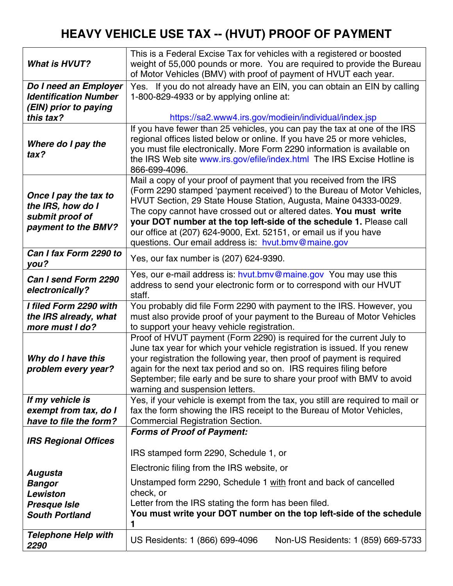## **HEAVY VEHICLE USE TAX -- (HVUT) PROOF OF PAYMENT**

| <b>What is HVUT?</b>                                                                 | This is a Federal Excise Tax for vehicles with a registered or boosted<br>weight of 55,000 pounds or more. You are required to provide the Bureau<br>of Motor Vehicles (BMV) with proof of payment of HVUT each year.                                                                                                                                                                                                                                                                      |
|--------------------------------------------------------------------------------------|--------------------------------------------------------------------------------------------------------------------------------------------------------------------------------------------------------------------------------------------------------------------------------------------------------------------------------------------------------------------------------------------------------------------------------------------------------------------------------------------|
| Do I need an Employer<br><b>Identification Number</b><br>(EIN) prior to paying       | Yes. If you do not already have an EIN, you can obtain an EIN by calling<br>1-800-829-4933 or by applying online at:                                                                                                                                                                                                                                                                                                                                                                       |
| this tax?                                                                            | https://sa2.www4.irs.gov/modiein/individual/index.jsp                                                                                                                                                                                                                                                                                                                                                                                                                                      |
| Where do I pay the<br>tax?                                                           | If you have fewer than 25 vehicles, you can pay the tax at one of the IRS<br>regional offices listed below or online. If you have 25 or more vehicles,<br>you must file electronically. More Form 2290 information is available on<br>the IRS Web site www.irs.gov/efile/index.html The IRS Excise Hotline is<br>866-699-4096.                                                                                                                                                             |
| Once I pay the tax to<br>the IRS, how do I<br>submit proof of<br>payment to the BMV? | Mail a copy of your proof of payment that you received from the IRS<br>(Form 2290 stamped 'payment received') to the Bureau of Motor Vehicles,<br>HVUT Section, 29 State House Station, Augusta, Maine 04333-0029.<br>The copy cannot have crossed out or altered dates. You must write<br>your DOT number at the top left-side of the schedule 1. Please call<br>our office at (207) 624-9000, Ext. 52151, or email us if you have<br>questions. Our email address is: hvut.bmv@maine.gov |
| Can I fax Form 2290 to<br>you?                                                       | Yes, our fax number is (207) 624-9390.                                                                                                                                                                                                                                                                                                                                                                                                                                                     |
| Can I send Form 2290<br>electronically?                                              | Yes, our e-mail address is: hvut.bmv@maine.gov You may use this<br>address to send your electronic form or to correspond with our HVUT<br>staff.                                                                                                                                                                                                                                                                                                                                           |
| I filed Form 2290 with<br>the IRS already, what<br>more must I do?                   | You probably did file Form 2290 with payment to the IRS. However, you<br>must also provide proof of your payment to the Bureau of Motor Vehicles<br>to support your heavy vehicle registration.                                                                                                                                                                                                                                                                                            |
| Why do I have this<br>problem every year?                                            | Proof of HVUT payment (Form 2290) is required for the current July to<br>June tax year for which your vehicle registration is issued. If you renew<br>your registration the following year, then proof of payment is required<br>again for the next tax period and so on. IRS requires filing before<br>September; file early and be sure to share your proof with BMV to avoid<br>warning and suspension letters.                                                                         |
| If my vehicle is<br>exempt from tax, do I<br>have to file the form?                  | Yes, if your vehicle is exempt from the tax, you still are required to mail or<br>fax the form showing the IRS receipt to the Bureau of Motor Vehicles,<br><b>Commercial Registration Section.</b>                                                                                                                                                                                                                                                                                         |
| <b>IRS Regional Offices</b>                                                          | <b>Forms of Proof of Payment:</b>                                                                                                                                                                                                                                                                                                                                                                                                                                                          |
|                                                                                      | IRS stamped form 2290, Schedule 1, or                                                                                                                                                                                                                                                                                                                                                                                                                                                      |
| Augusta                                                                              | Electronic filing from the IRS website, or                                                                                                                                                                                                                                                                                                                                                                                                                                                 |
| <b>Bangor</b>                                                                        | Unstamped form 2290, Schedule 1 with front and back of cancelled                                                                                                                                                                                                                                                                                                                                                                                                                           |
| Lewiston                                                                             | check, or<br>Letter from the IRS stating the form has been filed.                                                                                                                                                                                                                                                                                                                                                                                                                          |
| <b>Presque Isle</b><br><b>South Portland</b>                                         | You must write your DOT number on the top left-side of the schedule<br>1                                                                                                                                                                                                                                                                                                                                                                                                                   |
| <b>Telephone Help with</b><br>2290                                                   | US Residents: 1 (866) 699-4096<br>Non-US Residents: 1 (859) 669-5733                                                                                                                                                                                                                                                                                                                                                                                                                       |